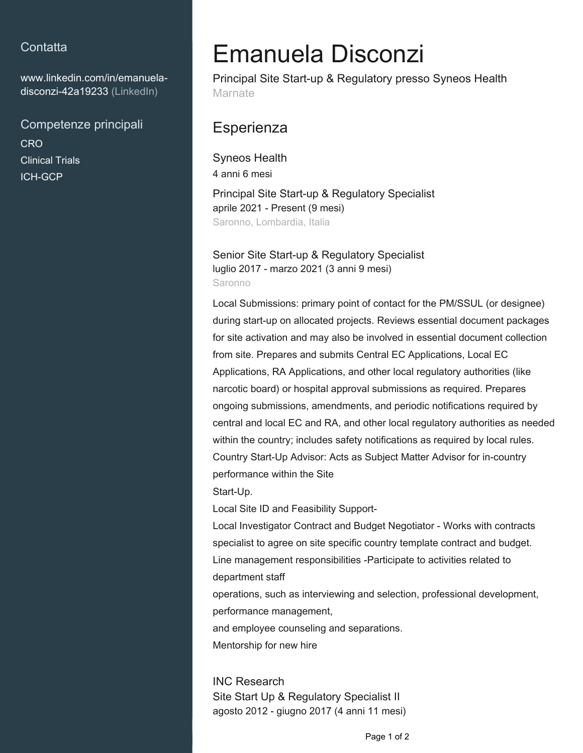## **Contatta**

[www.linkedin.com/in/emanuela](https://www.linkedin.com/in/emanuela-disconzi-42a19233?jobid=1234&lipi=urn%3Ali%3Apage%3Ad_jobs_easyapply_pdfgenresume%3BlCPjJC3vTQW%2BUH%2B5KysCJg%3D%3D&licu=urn%3Ali%3Acontrol%3Ad_jobs_easyapply_pdfgenresume-v02_profile)[disconzi-42a19233 \(LinkedIn\)](https://www.linkedin.com/in/emanuela-disconzi-42a19233?jobid=1234&lipi=urn%3Ali%3Apage%3Ad_jobs_easyapply_pdfgenresume%3BlCPjJC3vTQW%2BUH%2B5KysCJg%3D%3D&licu=urn%3Ali%3Acontrol%3Ad_jobs_easyapply_pdfgenresume-v02_profile)

Competenze principali **CRO** Clinical Trials ICH-GCP

# Emanuela Disconzi

Principal Site Start-up & Regulatory presso Syneos Health Marnate

## **Esperienza**

Syneos Health 4 anni 6 mesi Principal Site Start-up & Regulatory Specialist aprile 2021 - Present (9 mesi) Saronno, Lombardia, Italia

Senior Site Start-up & Regulatory Specialist luglio 2017 - marzo 2021 (3 anni 9 mesi) Saronno

Local Submissions: primary point of contact for the PM/SSUL (or designee) during start-up on allocated projects. Reviews essential document packages for site activation and may also be involved in essential document collection from site. Prepares and submits Central EC Applications, Local EC Applications, RA Applications, and other local regulatory authorities (like narcotic board) or hospital approval submissions as required. Prepares ongoing submissions, amendments, and periodic notifications required by central and local EC and RA, and other local regulatory authorities as needed within the country; includes safety notifications as required by local rules. Country Start-Up Advisor: Acts as Subject Matter Advisor for in-country performance within the Site

Start-Up.

Local Site ID and Feasibility Support-

Local Investigator Contract and Budget Negotiator - Works with contracts specialist to agree on site specific country template contract and budget. Line management responsibilities -Participate to activities related to department staff

operations, such as interviewing and selection, professional development, performance management,

and employee counseling and separations. Mentorship for new hire

INC Research Site Start Up & Regulatory Specialist II agosto 2012 - giugno 2017 (4 anni 11 mesi)